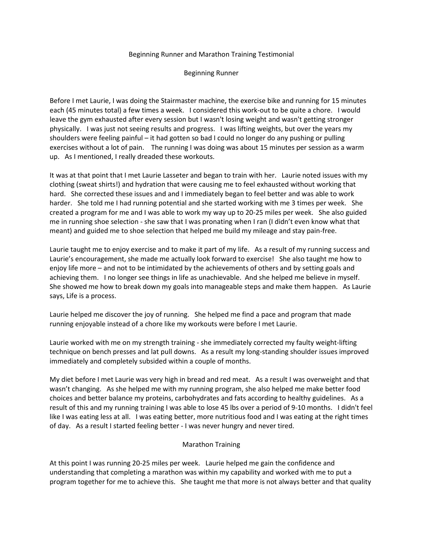## Beginning Runner and Marathon Training Testimonial

## Beginning Runner

Before I met Laurie, I was doing the Stairmaster machine, the exercise bike and running for 15 minutes each (45 minutes total) a few times a week. I considered this work-out to be quite a chore. I would leave the gym exhausted after every session but I wasn't losing weight and wasn't getting stronger physically. I was just not seeing results and progress. I was lifting weights, but over the years my shoulders were feeling painful – it had gotten so bad I could no longer do any pushing or pulling exercises without a lot of pain. The running I was doing was about 15 minutes per session as a warm up. As I mentioned, I really dreaded these workouts.

It was at that point that I met Laurie Lasseter and began to train with her. Laurie noted issues with my clothing (sweat shirts!) and hydration that were causing me to feel exhausted without working that hard. She corrected these issues and and I immediately began to feel better and was able to work harder. She told me I had running potential and she started working with me 3 times per week. She created a program for me and I was able to work my way up to 20-25 miles per week. She also guided me in running shoe selection - she saw that I was pronating when I ran (I didn't even know what that meant) and guided me to shoe selection that helped me build my mileage and stay pain-free.

Laurie taught me to enjoy exercise and to make it part of my life. As a result of my running success and Laurie's encouragement, she made me actually look forward to exercise! She also taught me how to enjoy life more – and not to be intimidated by the achievements of others and by setting goals and achieving them. I no longer see things in life as unachievable. And she helped me believe in myself. She showed me how to break down my goals into manageable steps and make them happen. As Laurie says, Life is a process.

Laurie helped me discover the joy of running. She helped me find a pace and program that made running enjoyable instead of a chore like my workouts were before I met Laurie.

Laurie worked with me on my strength training - she immediately corrected my faulty weight-lifting technique on bench presses and lat pull downs. As a result my long-standing shoulder issues improved immediately and completely subsided within a couple of months.

My diet before I met Laurie was very high in bread and red meat. As a result I was overweight and that wasn't changing. As she helped me with my running program, she also helped me make better food choices and better balance my proteins, carbohydrates and fats according to healthy guidelines. As a result of this and my running training I was able to lose 45 lbs over a period of 9-10 months. I didn't feel like I was eating less at all. I was eating better, more nutritious food and I was eating at the right times of day. As a result I started feeling better - I was never hungry and never tired.

## Marathon Training

At this point I was running 20-25 miles per week. Laurie helped me gain the confidence and understanding that completing a marathon was within my capability and worked with me to put a program together for me to achieve this. She taught me that more is not always better and that quality